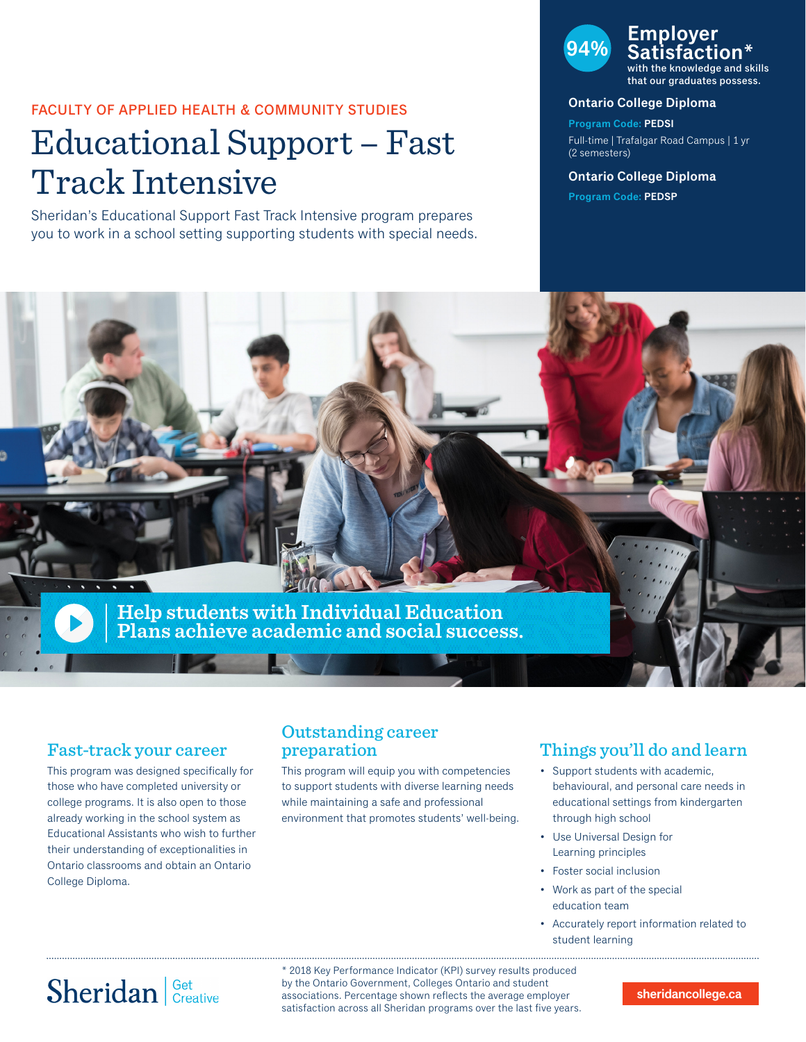### FACULTY OF APPLIED HEALTH & COMMUNITY STUDIES

# Educational Support – Fast Track Intensive

Sheridan's Educational Support Fast Track Intensive program prepares you to work in a school setting supporting students with special needs.

## **94% Employer Satisfaction\***

with the knowledge and skills that our graduates possess.

#### **Ontario College Diploma**

**Program Code: PEDSI** Full-time | Trafalgar Road Campus | 1 yr (2 semesters)

#### **Ontario College Diploma**

**Program Code: PEDSP**



### Fast-track your career

This program was designed specifically for those who have completed university or college programs. It is also open to those already working in the school system as Educational Assistants who wish to further their understanding of exceptionalities in Ontario classrooms and obtain an Ontario College Diploma.

### Outstanding career preparation

This program will equip you with competencies to support students with diverse learning needs while maintaining a safe and professional environment that promotes students' well-being.

### Things you'll do and learn

- Support students with academic, behavioural, and personal care needs in educational settings from kindergarten through high school
- Use Universal Design for Learning principles
- Foster social inclusion
- Work as part of the special education team
- Accurately report information related to student learning

# Sheridan Get Creative

\* 2018 Key Performance Indicator (KPI) survey results produced by the Ontario Government, Colleges Ontario and student associations. Percentage shown reflects the average employer satisfaction across all Sheridan programs over the last five years.